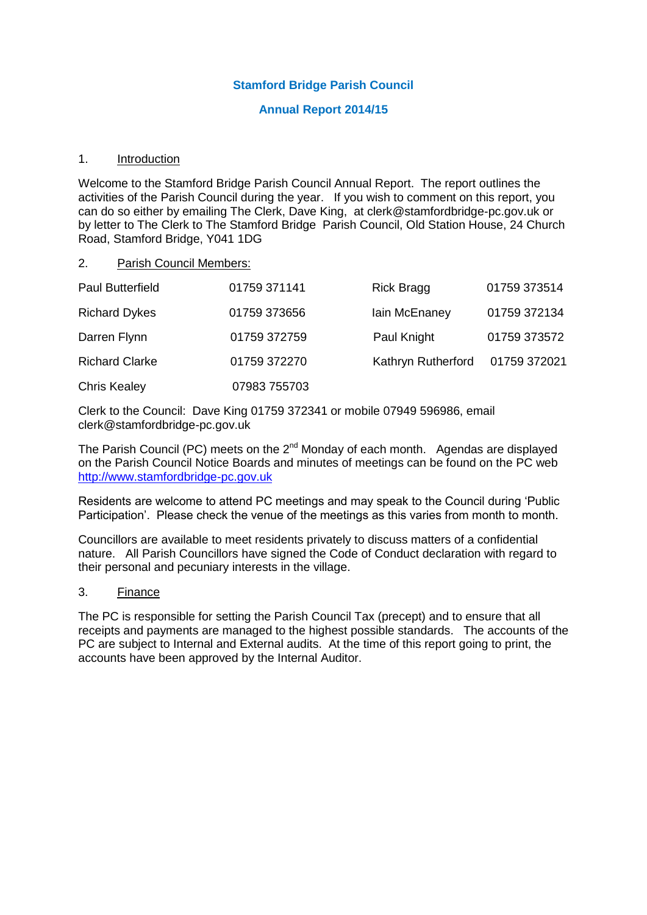## **Stamford Bridge Parish Council**

#### **Annual Report 2014/15**

#### 1. Introduction

Welcome to the Stamford Bridge Parish Council Annual Report. The report outlines the activities of the Parish Council during the year. If you wish to comment on this report, you can do so either by emailing The Clerk, Dave King, at clerk@stamfordbridge-pc.gov.uk or by letter to The Clerk to The Stamford Bridge Parish Council, Old Station House, 24 Church Road, Stamford Bridge, Y041 1DG

#### 2. Parish Council Members:

| <b>Paul Butterfield</b> | 01759 371141 | <b>Rick Bragg</b>  | 01759 373514 |
|-------------------------|--------------|--------------------|--------------|
| <b>Richard Dykes</b>    | 01759 373656 | lain McEnaney      | 01759 372134 |
| Darren Flynn            | 01759 372759 | Paul Knight        | 01759 373572 |
| <b>Richard Clarke</b>   | 01759 372270 | Kathryn Rutherford | 01759 372021 |
| <b>Chris Kealey</b>     | 07983 755703 |                    |              |

Clerk to the Council: Dave King 01759 372341 or mobile 07949 596986, email clerk@stamfordbridge-pc.gov.uk

The Parish Council (PC) meets on the 2<sup>nd</sup> Monday of each month. Agendas are displayed on the Parish Council Notice Boards and minutes of meetings can be found on the PC web [http://www.stamfordbridge-pc.gov.uk](http://www.stamfordbridge-pc.gov.uk/)

Residents are welcome to attend PC meetings and may speak to the Council during 'Public Participation'. Please check the venue of the meetings as this varies from month to month.

Councillors are available to meet residents privately to discuss matters of a confidential nature. All Parish Councillors have signed the Code of Conduct declaration with regard to their personal and pecuniary interests in the village.

#### 3. Finance

The PC is responsible for setting the Parish Council Tax (precept) and to ensure that all receipts and payments are managed to the highest possible standards. The accounts of the PC are subject to Internal and External audits. At the time of this report going to print, the accounts have been approved by the Internal Auditor.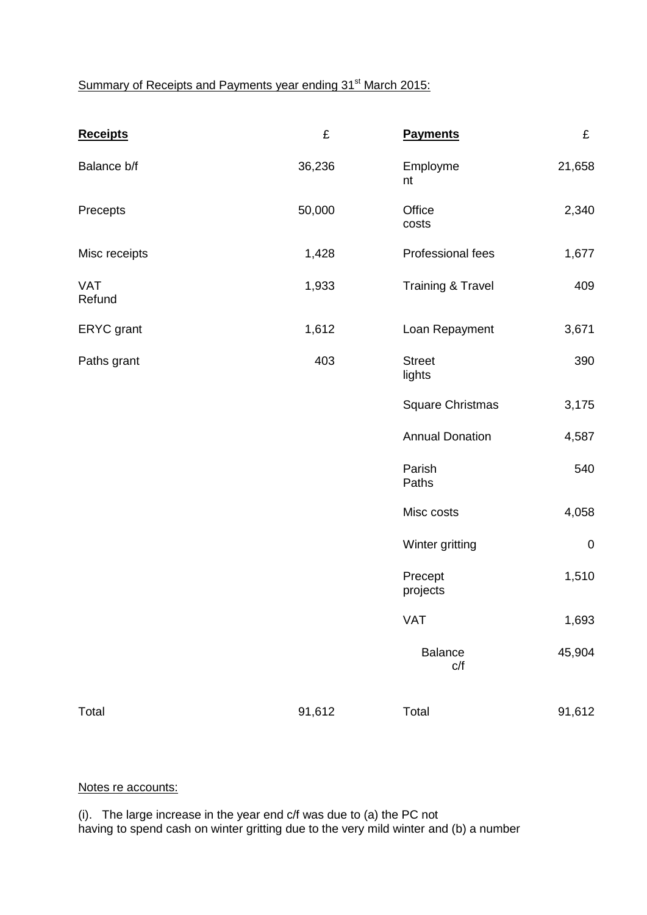# Summary of Receipts and Payments year ending 31<sup>st</sup> March 2015:

| <b>Receipts</b>      | £      | <b>Payments</b>              | £         |
|----------------------|--------|------------------------------|-----------|
| Balance b/f          | 36,236 | Employme<br>nt               | 21,658    |
| Precepts             | 50,000 | Office<br>costs              | 2,340     |
| Misc receipts        | 1,428  | Professional fees            | 1,677     |
| <b>VAT</b><br>Refund | 1,933  | <b>Training &amp; Travel</b> | 409       |
| ERYC grant           | 1,612  | Loan Repayment               | 3,671     |
| Paths grant          | 403    | <b>Street</b><br>lights      | 390       |
|                      |        | <b>Square Christmas</b>      | 3,175     |
|                      |        | <b>Annual Donation</b>       | 4,587     |
|                      |        | Parish<br>Paths              | 540       |
|                      |        | Misc costs                   | 4,058     |
|                      |        | Winter gritting              | $\pmb{0}$ |
|                      |        | Precept<br>projects          | 1,510     |
|                      |        | VAT                          | 1,693     |
|                      |        | <b>Balance</b><br>C/f        | 45,904    |
| Total                | 91,612 | Total                        | 91,612    |

# Notes re accounts:

(i). The large increase in the year end c/f was due to (a) the PC not having to spend cash on winter gritting due to the very mild winter and (b) a number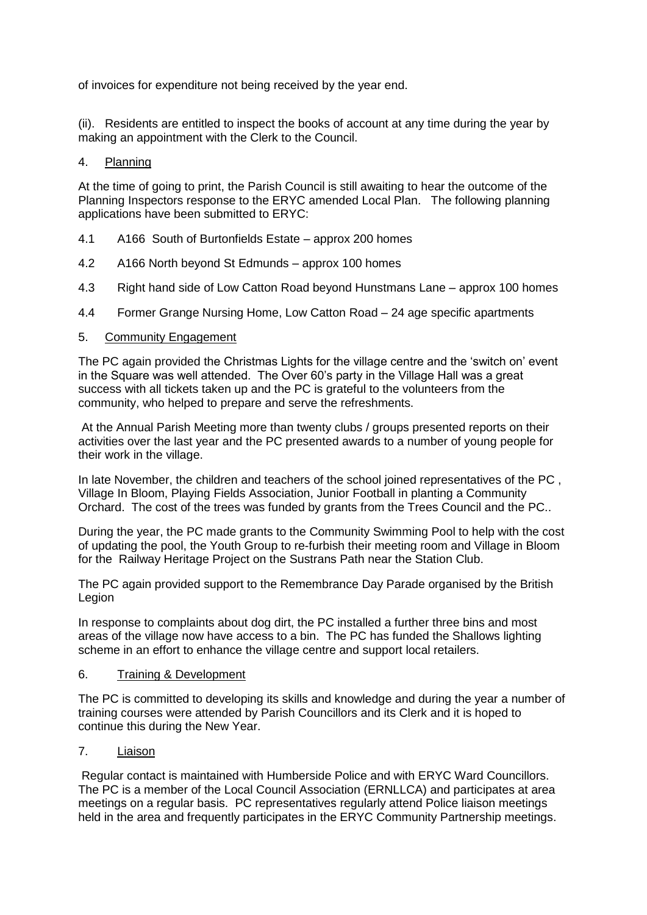of invoices for expenditure not being received by the year end.

(ii). Residents are entitled to inspect the books of account at any time during the year by making an appointment with the Clerk to the Council.

### 4. Planning

At the time of going to print, the Parish Council is still awaiting to hear the outcome of the Planning Inspectors response to the ERYC amended Local Plan. The following planning applications have been submitted to ERYC:

- 4.1 A166 South of Burtonfields Estate approx 200 homes
- 4.2 A166 North beyond St Edmunds approx 100 homes
- 4.3 Right hand side of Low Catton Road beyond Hunstmans Lane approx 100 homes
- 4.4 Former Grange Nursing Home, Low Catton Road 24 age specific apartments

## 5. Community Engagement

The PC again provided the Christmas Lights for the village centre and the 'switch on' event in the Square was well attended. The Over 60's party in the Village Hall was a great success with all tickets taken up and the PC is grateful to the volunteers from the community, who helped to prepare and serve the refreshments.

At the Annual Parish Meeting more than twenty clubs / groups presented reports on their activities over the last year and the PC presented awards to a number of young people for their work in the village.

In late November, the children and teachers of the school joined representatives of the PC , Village In Bloom, Playing Fields Association, Junior Football in planting a Community Orchard. The cost of the trees was funded by grants from the Trees Council and the PC..

During the year, the PC made grants to the Community Swimming Pool to help with the cost of updating the pool, the Youth Group to re-furbish their meeting room and Village in Bloom for the Railway Heritage Project on the Sustrans Path near the Station Club.

The PC again provided support to the Remembrance Day Parade organised by the British Legion

In response to complaints about dog dirt, the PC installed a further three bins and most areas of the village now have access to a bin. The PC has funded the Shallows lighting scheme in an effort to enhance the village centre and support local retailers.

#### 6. Training & Development

The PC is committed to developing its skills and knowledge and during the year a number of training courses were attended by Parish Councillors and its Clerk and it is hoped to continue this during the New Year.

## 7. Liaison

Regular contact is maintained with Humberside Police and with ERYC Ward Councillors. The PC is a member of the Local Council Association (ERNLLCA) and participates at area meetings on a regular basis. PC representatives regularly attend Police liaison meetings held in the area and frequently participates in the ERYC Community Partnership meetings.